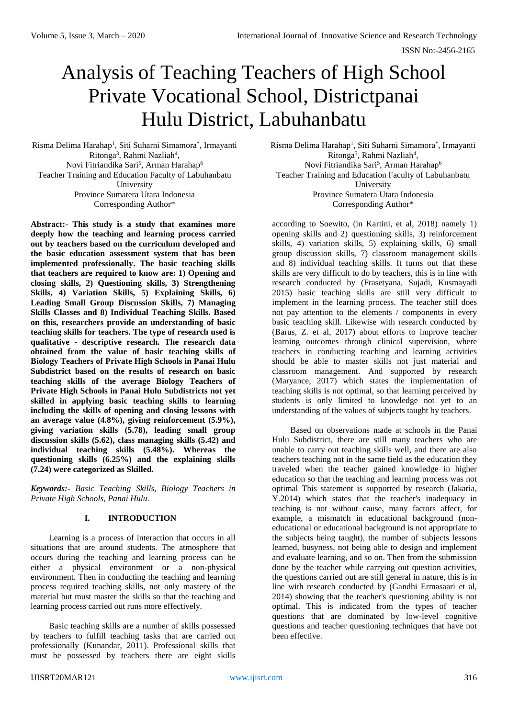# Analysis of Teaching Teachers of High School Private Vocational School, Districtpanai Hulu District, Labuhanbatu

Risma Delima Harahap<sup>1</sup>, Siti Suharni Simamora\*, Irmayanti Ritonga<sup>3</sup>, Rahmi Nazliah<sup>4</sup>, Novi Fitriandika Sari<sup>5</sup>, Arman Harahap<sup>6</sup> Teacher Training and Education Faculty of Labuhanbatu University Province Sumatera Utara Indonesia Corresponding Author\*

**Abstract:- This study is a study that examines more deeply how the teaching and learning process carried out by teachers based on the curriculum developed and the basic education assessment system that has been implemented professionally. The basic teaching skills that teachers are required to know are: 1) Opening and closing skills, 2) Questioning skills, 3) Strengthening Skills, 4) Variation Skills, 5) Explaining Skills, 6) Leading Small Group Discussion Skills, 7) Managing Skills Classes and 8) Individual Teaching Skills. Based on this, researchers provide an understanding of basic teaching skills for teachers. The type of research used is qualitative - descriptive research. The research data obtained from the value of basic teaching skills of Biology Teachers of Private High Schools in Panai Hulu Subdistrict based on the results of research on basic teaching skills of the average Biology Teachers of Private High Schools in Panai Hulu Subdistricts not yet skilled in applying basic teaching skills to learning including the skills of opening and closing lessons with an average value (4.8%), giving reinforcement (5.9%), giving variation skills (5.78), leading small group discussion skills (5.62), class managing skills (5.42) and individual teaching skills (5.48%). Whereas the questioning skills (6.25%) and the explaining skills (7.24) were categorized as Skilled.**

*Keywords:- Basic Teaching Skills, Biology Teachers in Private High Schools, Panai Hulu.*

## **I. INTRODUCTION**

Learning is a process of interaction that occurs in all situations that are around students. The atmosphere that occurs during the teaching and learning process can be either a physical environment or a non-physical environment. Then in conducting the teaching and learning process required teaching skills, not only mastery of the material but must master the skills so that the teaching and learning process carried out runs more effectively.

Basic teaching skills are a number of skills possessed by teachers to fulfill teaching tasks that are carried out professionally (Kunandar, 2011). Professional skills that must be possessed by teachers there are eight skills

Risma Delima Harahap<sup>1</sup>, Siti Suharni Simamora\*, Irmayanti Ritonga<sup>3</sup>, Rahmi Nazliah<sup>4</sup>, Novi Fitriandika Sari<sup>5</sup>, Arman Harahap<sup>6</sup> Teacher Training and Education Faculty of Labuhanbatu University Province Sumatera Utara Indonesia Corresponding Author\*

according to Soewito, (in Kartini, et al, 2018) namely 1) opening skills and 2) questioning skills, 3) reinforcement skills, 4) variation skills, 5) explaining skills, 6) small group discussion skills, 7) classroom management skills and 8) individual teaching skills. It turns out that these skills are very difficult to do by teachers, this is in line with research conducted by (Frasetyana, Sujadi, Kusmayadi 2015) basic teaching skills are still very difficult to implement in the learning process. The teacher still does not pay attention to the elements / components in every basic teaching skill. Likewise with research conducted by (Barus, Z. et al, 2017) about efforts to improve teacher learning outcomes through clinical supervision, where teachers in conducting teaching and learning activities should be able to master skills not just material and classroom management. And supported by research (Maryance, 2017) which states the implementation of teaching skills is not optimal, so that learning perceived by students is only limited to knowledge not yet to an understanding of the values of subjects taught by teachers.

Based on observations made at schools in the Panai Hulu Subdistrict, there are still many teachers who are unable to carry out teaching skills well, and there are also teachers teaching not in the same field as the education they traveled when the teacher gained knowledge in higher education so that the teaching and learning process was not optimal This statement is supported by research (Jakaria, Y.2014) which states that the teacher's inadequacy in teaching is not without cause, many factors affect, for example, a mismatch in educational background (noneducational or educational background is not appropriate to the subjects being taught), the number of subjects lessons learned, busyness, not being able to design and implement and evaluate learning, and so on. Then from the submission done by the teacher while carrying out question activities, the questions carried out are still general in nature, this is in line with research conducted by (Gandhi Ermasaari et al, 2014) showing that the teacher's questioning ability is not optimal. This is indicated from the types of teacher questions that are dominated by low-level cognitive questions and teacher questioning techniques that have not been effective.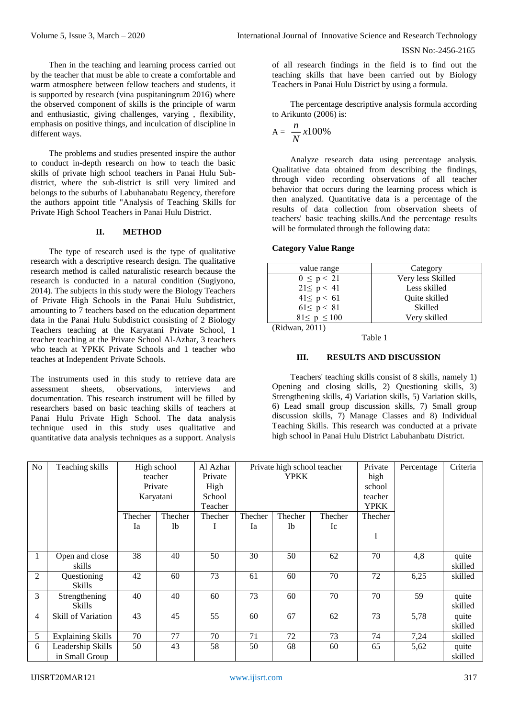Then in the teaching and learning process carried out by the teacher that must be able to create a comfortable and warm atmosphere between fellow teachers and students, it is supported by research (vina puspitaningrum 2016) where the observed component of skills is the principle of warm and enthusiastic, giving challenges, varying , flexibility, emphasis on positive things, and inculcation of discipline in different ways.

The problems and studies presented inspire the author to conduct in-depth research on how to teach the basic skills of private high school teachers in Panai Hulu Subdistrict, where the sub-district is still very limited and belongs to the suburbs of Labuhanabatu Regency, therefore the authors appoint title "Analysis of Teaching Skills for Private High School Teachers in Panai Hulu District.

## **II. METHOD**

The type of research used is the type of qualitative research with a descriptive research design. The qualitative research method is called naturalistic research because the research is conducted in a natural condition (Sugiyono, 2014). The subjects in this study were the Biology Teachers of Private High Schools in the Panai Hulu Subdistrict, amounting to 7 teachers based on the education department data in the Panai Hulu Subdistrict consisting of 2 Biology Teachers teaching at the Karyatani Private School, 1 teacher teaching at the Private School Al-Azhar, 3 teachers who teach at YPKK Private Schools and 1 teacher who teaches at Independent Private Schools.

The instruments used in this study to retrieve data are assessment sheets, observations, interviews and documentation. This research instrument will be filled by researchers based on basic teaching skills of teachers at Panai Hulu Private High School. The data analysis technique used in this study uses qualitative and quantitative data analysis techniques as a support. Analysis

of all research findings in the field is to find out the teaching skills that have been carried out by Biology Teachers in Panai Hulu District by using a formula.

The percentage descriptive analysis formula according to Arikunto (2006) is:

$$
A = \frac{n}{N} x 100\%
$$

Analyze research data using percentage analysis. Qualitative data obtained from describing the findings, through video recording observations of all teacher behavior that occurs during the learning process which is then analyzed. Quantitative data is a percentage of the results of data collection from observation sheets of teachers' basic teaching skills.And the percentage results will be formulated through the following data:

### **Category Value Range**

| value range        | Category          |
|--------------------|-------------------|
| $0 \le p < 21$     | Very less Skilled |
| $21 \le p < 41$    | Less skilled      |
| $41 \le p \le 61$  | Quite skilled     |
| $61 \le p < 81$    | Skilled           |
| $81 \le p \le 100$ | Very skilled      |
| (Ridwan, 2011)     |                   |

#### Table 1

## **III. RESULTS AND DISCUSSION**

Teachers' teaching skills consist of 8 skills, namely 1) Opening and closing skills, 2) Questioning skills, 3) Strengthening skills, 4) Variation skills, 5) Variation skills, 6) Lead small group discussion skills, 7) Small group discussion skills, 7) Manage Classes and 8) Individual Teaching Skills. This research was conducted at a private high school in Panai Hulu District Labuhanbatu District.

| No | Teaching skills                     | Karyatani | High school<br>teacher<br>Private | Al Azhar<br>Private<br>High<br>School<br>Teacher | Private high school teacher<br><b>YPKK</b> |           |         | Private<br>high<br>school<br>teacher<br><b>YPKK</b> | Percentage | Criteria         |
|----|-------------------------------------|-----------|-----------------------------------|--------------------------------------------------|--------------------------------------------|-----------|---------|-----------------------------------------------------|------------|------------------|
|    |                                     | Thecher   | Thecher                           | Thecher                                          | Thecher                                    | Thecher   | Thecher | Thecher                                             |            |                  |
|    |                                     | Ia        | Ib                                |                                                  | Ia                                         | <b>Ib</b> | Ic      | I                                                   |            |                  |
|    | Open and close<br>skills            | 38        | 40                                | 50                                               | 30                                         | 50        | 62      | 70                                                  | 4,8        | quite<br>skilled |
| 2  | Questioning<br><b>Skills</b>        | 42        | 60                                | 73                                               | 61                                         | 60        | 70      | 72                                                  | 6,25       | skilled          |
| 3  | Strengthening<br><b>Skills</b>      | 40        | 40                                | 60                                               | 73                                         | 60        | 70      | 70                                                  | 59         | quite<br>skilled |
| 4  | Skill of Variation                  | 43        | 45                                | 55                                               | 60                                         | 67        | 62      | 73                                                  | 5,78       | quite<br>skilled |
| 5  | <b>Explaining Skills</b>            | 70        | 77                                | 70                                               | 71                                         | 72        | 73      | 74                                                  | 7,24       | skilled          |
| 6  | Leadership Skills<br>in Small Group | 50        | 43                                | 58                                               | 50                                         | 68        | 60      | 65                                                  | 5,62       | quite<br>skilled |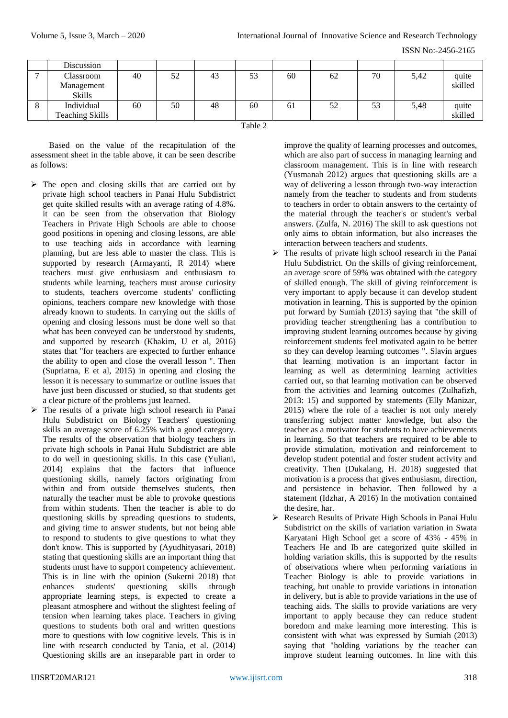| ISSN No:-2456-2165 |
|--------------------|
|--------------------|

|   | Discussion             |    |    |    |    |    |    |    |      |         |
|---|------------------------|----|----|----|----|----|----|----|------|---------|
| ∽ | Classroom              | 40 | 52 | 43 | 53 | 60 | 62 | 70 | 5,42 | quite   |
|   | Management             |    |    |    |    |    |    |    |      | skilled |
|   | <b>Skills</b>          |    |    |    |    |    |    |    |      |         |
| ◠ | Individual             | 60 | 50 | 48 | 60 | 61 | 52 | 53 | 5,48 | quite   |
|   | <b>Teaching Skills</b> |    |    |    |    |    |    |    |      | skilled |
|   | Table 2                |    |    |    |    |    |    |    |      |         |

Based on the value of the recapitulation of the assessment sheet in the table above, it can be seen describe as follows:

- $\triangleright$  The open and closing skills that are carried out by private high school teachers in Panai Hulu Subdistrict get quite skilled results with an average rating of 4.8%. it can be seen from the observation that Biology Teachers in Private High Schools are able to choose good positions in opening and closing lessons, are able to use teaching aids in accordance with learning planning, but are less able to master the class. This is supported by research (Armayanti, R 2014) where teachers must give enthusiasm and enthusiasm to students while learning, teachers must arouse curiosity to students, teachers overcome students' conflicting opinions, teachers compare new knowledge with those already known to students. In carrying out the skills of opening and closing lessons must be done well so that what has been conveyed can be understood by students, and supported by research (Khakim, U et al, 2016) states that "for teachers are expected to further enhance the ability to open and close the overall lesson ". Then (Supriatna, E et al, 2015) in opening and closing the lesson it is necessary to summarize or outline issues that have just been discussed or studied, so that students get a clear picture of the problems just learned.
- $\triangleright$  The results of a private high school research in Panai Hulu Subdistrict on Biology Teachers' questioning skills an average score of 6.25% with a good category. The results of the observation that biology teachers in private high schools in Panai Hulu Subdistrict are able to do well in questioning skills. In this case (Yuliani, 2014) explains that the factors that influence questioning skills, namely factors originating from within and from outside themselves students, then naturally the teacher must be able to provoke questions from within students. Then the teacher is able to do questioning skills by spreading questions to students, and giving time to answer students, but not being able to respond to students to give questions to what they don't know. This is supported by (Ayudhityasari, 2018) stating that questioning skills are an important thing that students must have to support competency achievement. This is in line with the opinion (Sukerni 2018) that enhances students' questioning skills through appropriate learning steps, is expected to create a pleasant atmosphere and without the slightest feeling of tension when learning takes place. Teachers in giving questions to students both oral and written questions more to questions with low cognitive levels. This is in line with research conducted by Tania, et al. (2014) Questioning skills are an inseparable part in order to

improve the quality of learning processes and outcomes, which are also part of success in managing learning and classroom management. This is in line with research (Yusmanah 2012) argues that questioning skills are a way of delivering a lesson through two-way interaction namely from the teacher to students and from students to teachers in order to obtain answers to the certainty of the material through the teacher's or student's verbal answers. (Zulfa, N. 2016) The skill to ask questions not only aims to obtain information, but also increases the interaction between teachers and students.

- $\triangleright$  The results of private high school research in the Panai Hulu Subdistrict. On the skills of giving reinforcement, an average score of 59% was obtained with the category of skilled enough. The skill of giving reinforcement is very important to apply because it can develop student motivation in learning. This is supported by the opinion put forward by Sumiah (2013) saying that "the skill of providing teacher strengthening has a contribution to improving student learning outcomes because by giving reinforcement students feel motivated again to be better so they can develop learning outcomes ". Slavin argues that learning motivation is an important factor in learning as well as determining learning activities carried out, so that learning motivation can be observed from the activities and learning outcomes (Zulhafizh, 2013: 15) and supported by statements (Elly Manizar, 2015) where the role of a teacher is not only merely transferring subject matter knowledge, but also the teacher as a motivator for students to have achievements in learning. So that teachers are required to be able to provide stimulation, motivation and reinforcement to develop student potential and foster student activity and creativity. Then (Dukalang, H. 2018) suggested that motivation is a process that gives enthusiasm, direction, and persistence in behavior. Then followed by a statement (Idzhar, A 2016) In the motivation contained the desire, har.
- Research Results of Private High Schools in Panai Hulu Subdistrict on the skills of variation variation in Swata Karyatani High School get a score of 43% - 45% in Teachers He and Ib are categorized quite skilled in holding variation skills, this is supported by the results of observations where when performing variations in Teacher Biology is able to provide variations in teaching, but unable to provide variations in intonation in delivery, but is able to provide variations in the use of teaching aids. The skills to provide variations are very important to apply because they can reduce student boredom and make learning more interesting. This is consistent with what was expressed by Sumiah (2013) saying that "holding variations by the teacher can improve student learning outcomes. In line with this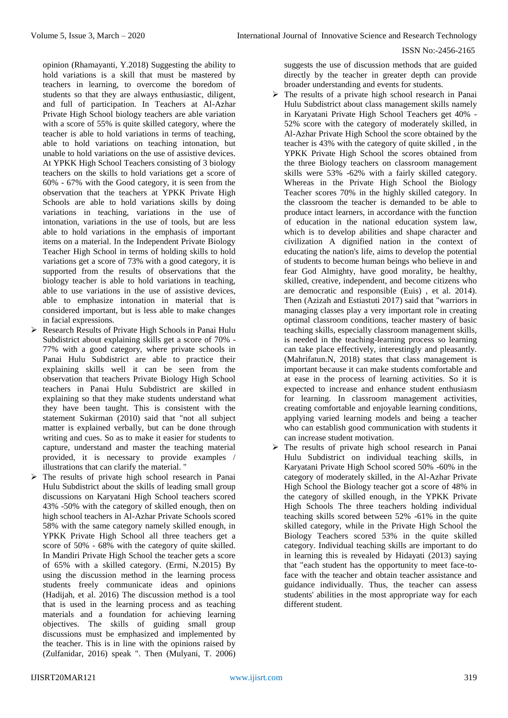opinion (Rhamayanti, Y.2018) Suggesting the ability to hold variations is a skill that must be mastered by teachers in learning, to overcome the boredom of students so that they are always enthusiastic, diligent, and full of participation. In Teachers at Al-Azhar Private High School biology teachers are able variation with a score of 55% is quite skilled category, where the teacher is able to hold variations in terms of teaching, able to hold variations on teaching intonation, but unable to hold variations on the use of assistive devices. At YPKK High School Teachers consisting of 3 biology teachers on the skills to hold variations get a score of 60% - 67% with the Good category, it is seen from the observation that the teachers at YPKK Private High Schools are able to hold variations skills by doing variations in teaching, variations in the use of intonation, variations in the use of tools, but are less able to hold variations in the emphasis of important items on a material. In the Independent Private Biology Teacher High School in terms of holding skills to hold variations get a score of 73% with a good category, it is supported from the results of observations that the biology teacher is able to hold variations in teaching, able to use variations in the use of assistive devices, able to emphasize intonation in material that is considered important, but is less able to make changes in facial expressions.

- Research Results of Private High Schools in Panai Hulu Subdistrict about explaining skills get a score of 70% - 77% with a good category, where private schools in Panai Hulu Subdistrict are able to practice their explaining skills well it can be seen from the observation that teachers Private Biology High School teachers in Panai Hulu Subdistrict are skilled in explaining so that they make students understand what they have been taught. This is consistent with the statement Sukirman (2010) said that "not all subject matter is explained verbally, but can be done through writing and cues. So as to make it easier for students to capture, understand and master the teaching material provided, it is necessary to provide examples / illustrations that can clarify the material. "
- $\triangleright$  The results of private high school research in Panai Hulu Subdistrict about the skills of leading small group discussions on Karyatani High School teachers scored 43% -50% with the category of skilled enough, then on high school teachers in Al-Azhar Private Schools scored 58% with the same category namely skilled enough, in YPKK Private High School all three teachers get a score of 50% - 68% with the category of quite skilled. In Mandiri Private High School the teacher gets a score of 65% with a skilled category. (Ermi, N.2015) By using the discussion method in the learning process students freely communicate ideas and opinions (Hadijah, et al. 2016) The discussion method is a tool that is used in the learning process and as teaching materials and a foundation for achieving learning objectives. The skills of guiding small group discussions must be emphasized and implemented by the teacher. This is in line with the opinions raised by (Zulfanidar, 2016) speak ". Then (Mulyani, T. 2006)

suggests the use of discussion methods that are guided directly by the teacher in greater depth can provide broader understanding and events for students.

- $\triangleright$  The results of a private high school research in Panai Hulu Subdistrict about class management skills namely in Karyatani Private High School Teachers get 40% - 52% score with the category of moderately skilled, in Al-Azhar Private High School the score obtained by the teacher is 43% with the category of quite skilled , in the YPKK Private High School the scores obtained from the three Biology teachers on classroom management skills were 53% -62% with a fairly skilled category. Whereas in the Private High School the Biology Teacher scores 70% in the highly skilled category. In the classroom the teacher is demanded to be able to produce intact learners, in accordance with the function of education in the national education system law, which is to develop abilities and shape character and civilization A dignified nation in the context of educating the nation's life, aims to develop the potential of students to become human beings who believe in and fear God Almighty, have good morality, be healthy, skilled, creative, independent, and become citizens who are democratic and responsible (Euis) , et al. 2014). Then (Azizah and Estiastuti 2017) said that "warriors in managing classes play a very important role in creating optimal classroom conditions, teacher mastery of basic teaching skills, especially classroom management skills, is needed in the teaching-learning process so learning can take place effectively, interestingly and pleasantly. (Mahrifatun.N, 2018) states that class management is important because it can make students comfortable and at ease in the process of learning activities. So it is expected to increase and enhance student enthusiasm for learning. In classroom management activities, creating comfortable and enjoyable learning conditions, applying varied learning models and being a teacher who can establish good communication with students it can increase student motivation.
- $\triangleright$  The results of private high school research in Panai Hulu Subdistrict on individual teaching skills, in Karyatani Private High School scored 50% -60% in the category of moderately skilled, in the Al-Azhar Private High School the Biology teacher got a score of 48% in the category of skilled enough, in the YPKK Private High Schools The three teachers holding individual teaching skills scored between 52% -61% in the quite skilled category, while in the Private High School the Biology Teachers scored 53% in the quite skilled category. Individual teaching skills are important to do in learning this is revealed by Hidayati (2013) saying that "each student has the opportunity to meet face-toface with the teacher and obtain teacher assistance and guidance individually. Thus, the teacher can assess students' abilities in the most appropriate way for each different student.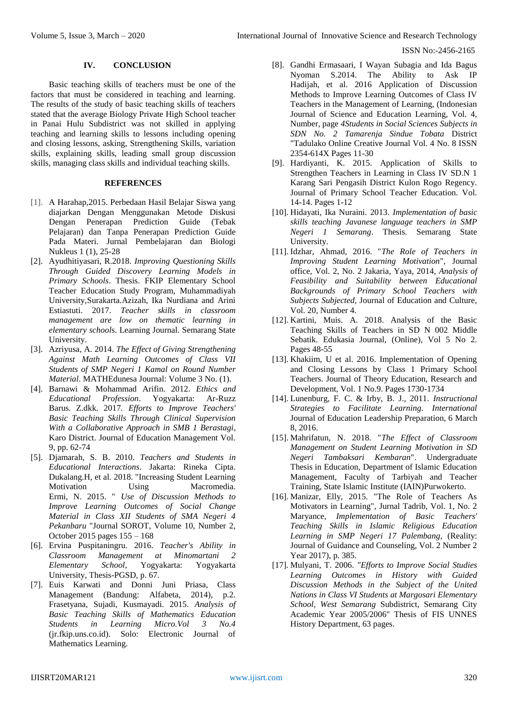## **IV. CONCLUSION**

Basic teaching skills of teachers must be one of the factors that must be considered in teaching and learning. The results of the study of basic teaching skills of teachers stated that the average Biology Private High School teacher in Panai Hulu Subdistrict was not skilled in applying teaching and learning skills to lessons including opening and closing lessons, asking, Strengthening Skills, variation skills, explaining skills, leading small group discussion skills, managing class skills and individual teaching skills.

## **REFERENCES**

- [1]. A Harahap,2015. Perbedaan Hasil Belajar Siswa yang diajarkan Dengan Menggunakan Metode Diskusi Dengan Penerapan Prediction Guide (Tebak Pelajaran) dan Tanpa Penerapan Prediction Guide Pada Materi. Jurnal Pembelajaran dan Biologi Nukleus 1 (1), 25-28
- [2]. Ayudhitiyasari, R.2018. *Improving Questioning Skills Through Guided Discovery Learning Models in Primary Schools*. Thesis. FKIP Elementary School Teacher Education Study Program, Muhammadiyah University,Surakarta.Azizah, Ika Nurdiana and Arini Estiastuti. 2017. *Teacher skills in classroom management are low on thematic learning in elementary school*s. Learning Journal. Semarang State University.
- [3]. Azriyusa, A. 2014. *The Effect of Giving Strengthening Against Math Learning Outcomes of Class VII Students of SMP Negeri 1 Kamal on Round Number Material*. MATHEdunesa Journal: Volume 3 No. (1).
- [4]. Barnawi & Mohammad Arifin. 2012. *Ethics and Educational Profession*. Yogyakarta: Ar-Ruzz Barus. Z.dkk. 2017*. Efforts to Improve Teachers' Basic Teaching Skills Through Clinical Supervision With a Collaborative Approach in SMB 1 Berastagi*, Karo District. Journal of Education Management Vol. 9, pp. 62-74
- [5]. Djamarah, S. B. 2010. *Teachers and Students in Educational Interactions*. Jakarta: Rineka Cipta. Dukalang.H, et al. 2018. "Increasing Student Learning Motivation Using Macromedia. Ermi, N. 2015. " *Use of Discussion Methods to Improve Learning Outcomes of Social Change Material in Class XII Students of SMA Negeri 4 Pekanbaru* "Journal SOROT, Volume 10, Number 2, October 2015 pages 155 – 168
- [6]. Ervina Puspitaningru. 2016. *Teacher's Ability in Classroom Management at Minomartani 2 Elementary School*, Yogyakarta: Yogyakarta University, Thesis-PGSD, p. 67.
- [7]. Euis Karwati and Donni Juni Priasa, Class Management (Bandung: Alfabeta, 2014), p.2. Frasetyana, Sujadi, Kusmayadi. 2015. *Analysis of Basic Teaching Skills of Mathematics Education Students in Learning Micro.Vol 3 No.4* (jr.fkip.uns.co.id). Solo: Electronic Journal of Mathematics Learning.
- [8]. Gandhi Ermasaari, I Wayan Subagia and Ida Bagus Nyoman S.2014. The Ability to Ask IP Hadijah, et al. 2016 Application of Discussion Methods to Improve Learning Outcomes of Class IV Teachers in the Management of Learning, (Indonesian Journal of Science and Education Learning, Vol. 4, Number, page *4Students in Social Sciences Subjects in SDN No. 2 Tamarenja Sindue Tobata* District "Tadulako Online Creative Journal Vol. 4 No. 8 ISSN 2354-614X Pages 11-30
- [9]. Hardiyanti, K. 2015. Application of Skills to Strengthen Teachers in Learning in Class IV SD.N 1 Karang Sari Pengasih District Kulon Rogo Regency. Journal of Primary School Teacher Education. Vol. 14-14. Pages 1-12
- [10]. Hidayati, Ika Nuraini. 2013. *Implementation of basic skills teaching Javanese language teachers in SMP Negeri 1 Semarang*. Thesis. Semarang State University.
- [11]. Idzhar, Ahmad, 2016. "*The Role of Teachers in Improving Student Learning Motivation*", Journal office, Vol. 2, No. 2 Jakaria, Yaya, 2014, *Analysis of Feasibility and Suitability between Educational Backgrounds of Primary School Teachers with Subjects Subjected*, Journal of Education and Culture, Vol. 20, Number 4.
- [12]. Kartini, Muis. A. 2018. Analysis of the Basic Teaching Skills of Teachers in SD N 002 Middle Sebatik. Edukasia Journal, (Online), Vol 5 No 2. Pages 48-55
- [13]. Khakiim, U et al. 2016. Implementation of Opening and Closing Lessons by Class 1 Primary School Teachers. Journal of Theory Education, Research and Development, Vol. 1 No.9. Pages 1730-1734
- [14]. Lunenburg, F. C. & Irby, B. J., 2011. *Instructional Strategies to Facilitate Learning. International* Journal of Education Leadership Preparation, 6 March 8, 2016.
- [15]. Mahrifatun, N. 2018. "*The Effect of Classroom Management on Student Learning Motivation in SD Negeri Tambaksari Kembaran*". Undergraduate Thesis in Education, Department of Islamic Education Management, Faculty of Tarbiyah and Teacher Training, State Islamic Institute (IAIN)Purwokerto.
- [16]. Manizar, Elly, 2015. "The Role of Teachers As Motivators in Learning", Jurnal Tadrib, Vol. 1, No. 2 Maryance, *Implementation of Basic Teachers' Teaching Skills in Islamic Religious Education Learning in SMP Negeri 17 Palembang,* (Reality: Journal of Guidance and Counseling, Vol. 2 Number 2 Year 2017), p. 385.
- [17]. Mulyani, T. 2006. *"Efforts to Improve Social Studies Learning Outcomes in History with Guided Discussion Methods in the Subject of the United Nations in Class VI Students at Margosari Elementary School, West Semarang* Subdistrict, Semarang City Academic Year 2005/2006" Thesis of FIS UNNES History Department, 63 pages.